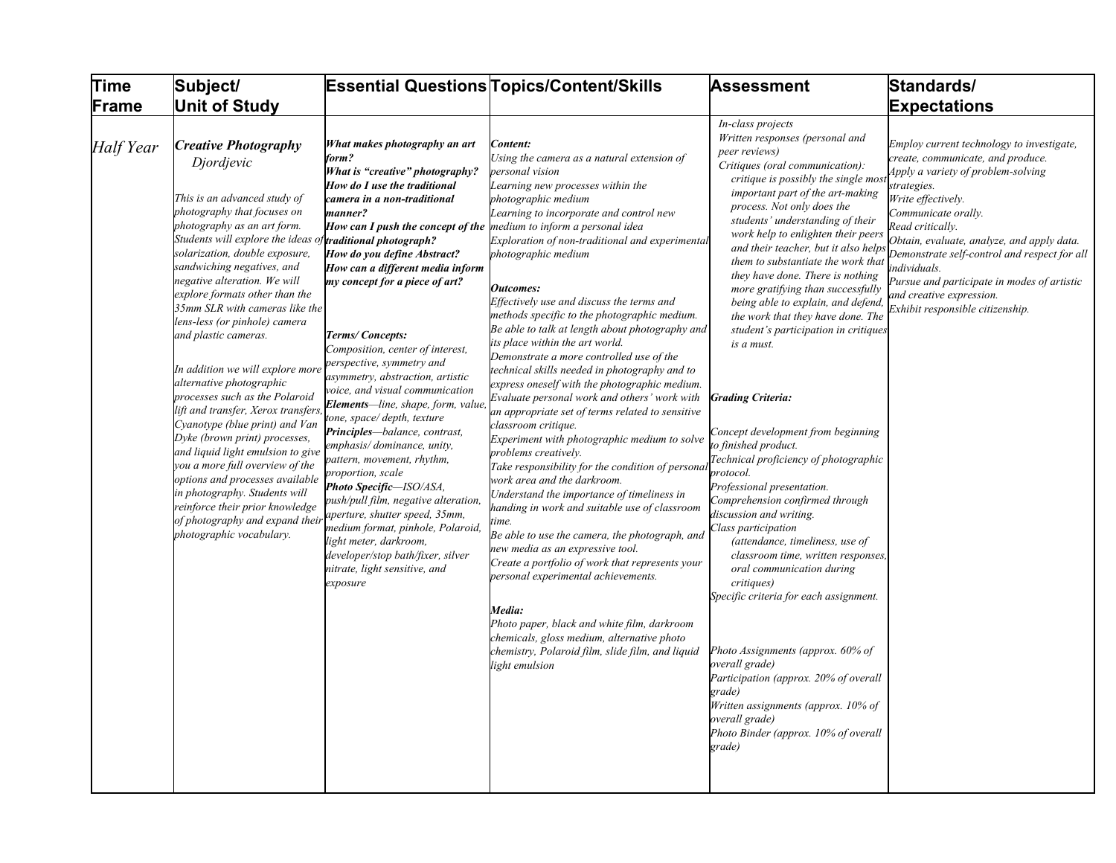| <b>Time</b>      | Subject/                                                                                                                                                                                                                                                                                                                                                                                                                                                                                                                                                                                                                                                                                                                                                                                                                                                           |                                                                                                                                                                                                                                                                                                                                                                                                                                                                                                                                                                                                                                                                                                                                                                                                                                                                                                                                                                         | <b>Essential Questions Topics/Content/Skills</b>                                                                                                                                                                                                                                                                                                                                                                                                                                                                                                                                                                                                                                                                                                                                                                                                                                                                                                                                                                                                                                                                                                                                                                                                                                                                                                                           | <b>Assessment</b>                                                                                                                                                                                                                                                                                                                                                                                                                                                                                                                                                                                                                                                                                                                                                                                                                                                                                                                                                                                                                                                                                                                                                                                                                         | Standards/                                                                                                                                                                                                                                                                                                                                                                                                                       |
|------------------|--------------------------------------------------------------------------------------------------------------------------------------------------------------------------------------------------------------------------------------------------------------------------------------------------------------------------------------------------------------------------------------------------------------------------------------------------------------------------------------------------------------------------------------------------------------------------------------------------------------------------------------------------------------------------------------------------------------------------------------------------------------------------------------------------------------------------------------------------------------------|-------------------------------------------------------------------------------------------------------------------------------------------------------------------------------------------------------------------------------------------------------------------------------------------------------------------------------------------------------------------------------------------------------------------------------------------------------------------------------------------------------------------------------------------------------------------------------------------------------------------------------------------------------------------------------------------------------------------------------------------------------------------------------------------------------------------------------------------------------------------------------------------------------------------------------------------------------------------------|----------------------------------------------------------------------------------------------------------------------------------------------------------------------------------------------------------------------------------------------------------------------------------------------------------------------------------------------------------------------------------------------------------------------------------------------------------------------------------------------------------------------------------------------------------------------------------------------------------------------------------------------------------------------------------------------------------------------------------------------------------------------------------------------------------------------------------------------------------------------------------------------------------------------------------------------------------------------------------------------------------------------------------------------------------------------------------------------------------------------------------------------------------------------------------------------------------------------------------------------------------------------------------------------------------------------------------------------------------------------------|-------------------------------------------------------------------------------------------------------------------------------------------------------------------------------------------------------------------------------------------------------------------------------------------------------------------------------------------------------------------------------------------------------------------------------------------------------------------------------------------------------------------------------------------------------------------------------------------------------------------------------------------------------------------------------------------------------------------------------------------------------------------------------------------------------------------------------------------------------------------------------------------------------------------------------------------------------------------------------------------------------------------------------------------------------------------------------------------------------------------------------------------------------------------------------------------------------------------------------------------|----------------------------------------------------------------------------------------------------------------------------------------------------------------------------------------------------------------------------------------------------------------------------------------------------------------------------------------------------------------------------------------------------------------------------------|
| Frame            | <b>Unit of Study</b>                                                                                                                                                                                                                                                                                                                                                                                                                                                                                                                                                                                                                                                                                                                                                                                                                                               |                                                                                                                                                                                                                                                                                                                                                                                                                                                                                                                                                                                                                                                                                                                                                                                                                                                                                                                                                                         |                                                                                                                                                                                                                                                                                                                                                                                                                                                                                                                                                                                                                                                                                                                                                                                                                                                                                                                                                                                                                                                                                                                                                                                                                                                                                                                                                                            |                                                                                                                                                                                                                                                                                                                                                                                                                                                                                                                                                                                                                                                                                                                                                                                                                                                                                                                                                                                                                                                                                                                                                                                                                                           | <b>Expectations</b>                                                                                                                                                                                                                                                                                                                                                                                                              |
| <b>Half</b> Year | <b>Creative Photography</b><br>Djordjevic<br>This is an advanced study of<br>photography that focuses on<br>photography as an art form.<br>Students will explore the ideas o<br>solarization, double exposure,<br>sandwiching negatives, and<br>negative alteration. We will<br>explore formats other than the<br>35mm SLR with cameras like the<br>lens-less (or pinhole) camera<br>and plastic cameras.<br>In addition we will explore more<br>alternative photographic<br>processes such as the Polaroid<br>lift and transfer, Xerox transfers<br>Cyanotype (blue print) and Van<br>Dyke (brown print) processes,<br>and liquid light emulsion to give<br>you a more full overview of the<br>options and processes available<br>in photography. Students will<br>reinforce their prior knowledge<br>of photography and expand their<br>photographic vocabulary. | What makes photography an art<br>form?<br>What is "creative" photography?<br>How do I use the traditional<br>camera in a non-traditional<br>manner?<br><b>How can I push the concept of the medium to inform a personal idea</b><br>traditional photograph?<br>How do you define Abstract?<br>How can a different media inform<br>my concept for a piece of art?<br>Terms/Concepts:<br>Composition, center of interest,<br>perspective, symmetry and<br>asymmetry, abstraction, artistic<br>voice, and visual communication<br>Elements-line, shape, form, value<br>tone, space/ depth, texture<br>Principles-balance, contrast,<br>emphasis/dominance, unity,<br>pattern, movement, rhythm,<br>proportion, scale<br>Photo Specific-ISO/ASA,<br>push/pull film, negative alteration,<br>aperture, shutter speed, 35mm,<br>medium format, pinhole, Polaroid,<br>light meter, darkroom,<br>developer/stop bath/fixer, silver<br>nitrate, light sensitive, and<br>exposure | Content:<br>Using the camera as a natural extension of<br>personal vision<br>Learning new processes within the<br>photographic medium<br>Learning to incorporate and control new<br>Exploration of non-traditional and experimental<br>photographic medium<br><b>Outcomes:</b><br>Effectively use and discuss the terms and<br>methods specific to the photographic medium.<br>Be able to talk at length about photography and<br>its place within the art world.<br>Demonstrate a more controlled use of the<br>technical skills needed in photography and to<br>express oneself with the photographic medium.<br>Evaluate personal work and others' work with<br>an appropriate set of terms related to sensitive<br>classroom critique.<br>Experiment with photographic medium to solve<br>problems creatively.<br>Take responsibility for the condition of persona<br>work area and the darkroom.<br>Understand the importance of timeliness in<br>handing in work and suitable use of classroom<br>time.<br>Be able to use the camera, the photograph, and<br>new media as an expressive tool.<br>Create a portfolio of work that represents your<br>personal experimental achievements.<br>Media:<br>Photo paper, black and white film, darkroom<br>chemicals, gloss medium, alternative photo<br>chemistry, Polaroid film, slide film, and liquid<br>light emulsion | In-class projects<br>Written responses (personal and<br>peer reviews)<br>Critiques (oral communication):<br>critique is possibly the single most<br>important part of the art-making<br>process. Not only does the<br>students' understanding of their<br>work help to enlighten their peers<br>and their teacher, but it also helps<br>them to substantiate the work that<br>they have done. There is nothing<br>more gratifying than successfully<br>being able to explain, and defend,<br>the work that they have done. The<br>student's participation in critiques<br>is a must.<br><b>Grading Criteria:</b><br>Concept development from beginning<br>to finished product.<br>Technical proficiency of photographic<br>protocol.<br>Professional presentation.<br>Comprehension confirmed through<br>discussion and writing.<br>Class participation<br>(attendance, timeliness, use of<br>classroom time, written responses<br>oral communication during<br>critiques)<br>Specific criteria for each assignment.<br>Photo Assignments (approx. 60% of<br>overall grade)<br>Participation (approx. 20% of overall<br>grade)<br>Written assignments (approx. 10% of<br>overall grade)<br>Photo Binder (approx. 10% of overall<br>grade) | Employ current technology to investigate,<br>create, communicate, and produce.<br>Apply a variety of problem-solving<br>strategies.<br>Write effectively.<br>Communicate orally.<br>Read critically.<br>Obtain, evaluate, analyze, and apply data.<br>Demonstrate self-control and respect for all<br>ndividuals.<br>Pursue and participate in modes of artistic<br>and creative expression.<br>Exhibit responsible citizenship. |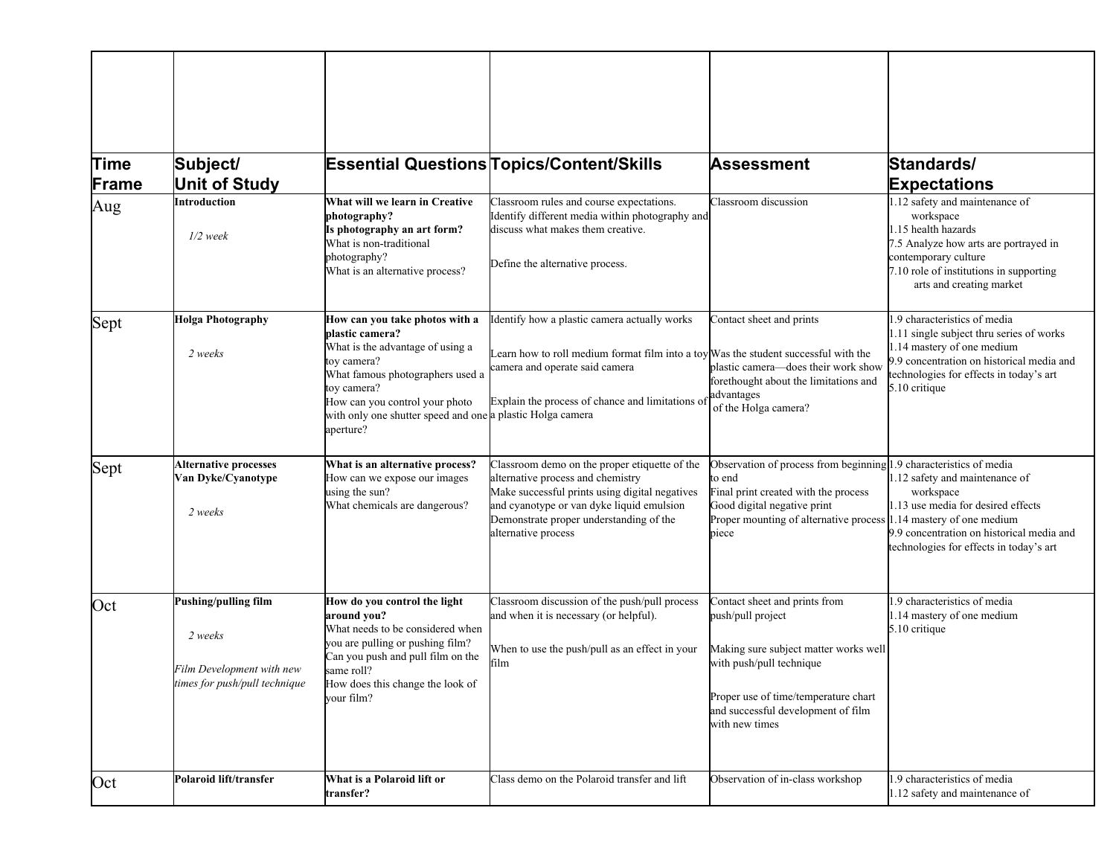| Time<br>Frame | Subject/<br><b>Unit of Study</b>                                                              |                                                                                                                                                                                                                                                                      | <b>Essential Questions Topics/Content/Skills</b>                                                                                                                                                                                                    | <b>Assessment</b>                                                                                                                                                                                                                 | Standards/<br><b>Expectations</b>                                                                                                                                                                               |
|---------------|-----------------------------------------------------------------------------------------------|----------------------------------------------------------------------------------------------------------------------------------------------------------------------------------------------------------------------------------------------------------------------|-----------------------------------------------------------------------------------------------------------------------------------------------------------------------------------------------------------------------------------------------------|-----------------------------------------------------------------------------------------------------------------------------------------------------------------------------------------------------------------------------------|-----------------------------------------------------------------------------------------------------------------------------------------------------------------------------------------------------------------|
| Aug           | Introduction<br>$1/2$ week                                                                    | What will we learn in Creative<br>photography?<br>Is photography an art form?<br>What is non-traditional<br>photography?<br>What is an alternative process?                                                                                                          | Classroom rules and course expectations.<br>Identify different media within photography and<br>discuss what makes them creative.<br>Define the alternative process.                                                                                 | Classroom discussion                                                                                                                                                                                                              | 1.12 safety and maintenance of<br>workspace<br>1.15 health hazards<br>7.5 Analyze how arts are portrayed in<br>contemporary culture<br>7.10 role of institutions in supporting<br>arts and creating market      |
| Sept          | <b>Holga Photography</b><br>2 weeks                                                           | How can you take photos with a<br>plastic camera?<br>What is the advantage of using a<br>toy camera?<br>What famous photographers used a<br>toy camera?<br>How can you control your photo<br>with only one shutter speed and one a plastic Holga camera<br>aperture? | Identify how a plastic camera actually works<br>Learn how to roll medium format film into a toy $W$ as the student successful with the<br>camera and operate said camera<br>Explain the process of chance and limitations of                        | Contact sheet and prints<br>plastic camera-does their work show<br>forethought about the limitations and<br>advantages<br>of the Holga camera?                                                                                    | 1.9 characteristics of media<br>1.11 single subject thru series of works<br>1.14 mastery of one medium<br>9.9 concentration on historical media and<br>technologies for effects in today's art<br>5.10 critique |
| Sept          | <b>Alternative processes</b><br>Van Dyke/Cyanotype<br>2 weeks                                 | What is an alternative process?<br>How can we expose our images<br>using the sun?<br>What chemicals are dangerous?                                                                                                                                                   | Classroom demo on the proper etiquette of the<br>alternative process and chemistry<br>Make successful prints using digital negatives<br>and cyanotype or van dyke liquid emulsion<br>Demonstrate proper understanding of the<br>alternative process | Observation of process from beginning 1.9 characteristics of media<br>to end<br>Final print created with the process<br>Good digital negative print<br>Proper mounting of alternative process 1.14 mastery of one medium<br>piece | 1.12 safety and maintenance of<br>workspace<br>1.13 use media for desired effects<br>9.9 concentration on historical media and<br>technologies for effects in today's art                                       |
| Oct           | Pushing/pulling film<br>2 weeks<br>Film Development with new<br>times for push/pull technique | How do you control the light<br>around vou?<br>What needs to be considered when<br>you are pulling or pushing film?<br>Can you push and pull film on the<br>same roll?<br>How does this change the look of<br>vour film?                                             | Classroom discussion of the push/pull process<br>and when it is necessary (or helpful).<br>When to use the push/pull as an effect in your<br>film                                                                                                   | Contact sheet and prints from<br>push/pull project<br>Making sure subject matter works well<br>with push/pull technique<br>Proper use of time/temperature chart<br>and successful development of film<br>with new times           | .9 characteristics of media<br>1.14 mastery of one medium<br>5.10 critique                                                                                                                                      |
| Oct           | Polaroid lift/transfer                                                                        | What is a Polaroid lift or<br>transfer?                                                                                                                                                                                                                              | Class demo on the Polaroid transfer and lift                                                                                                                                                                                                        | Observation of in-class workshop                                                                                                                                                                                                  | .9 characteristics of media<br>1.12 safety and maintenance of                                                                                                                                                   |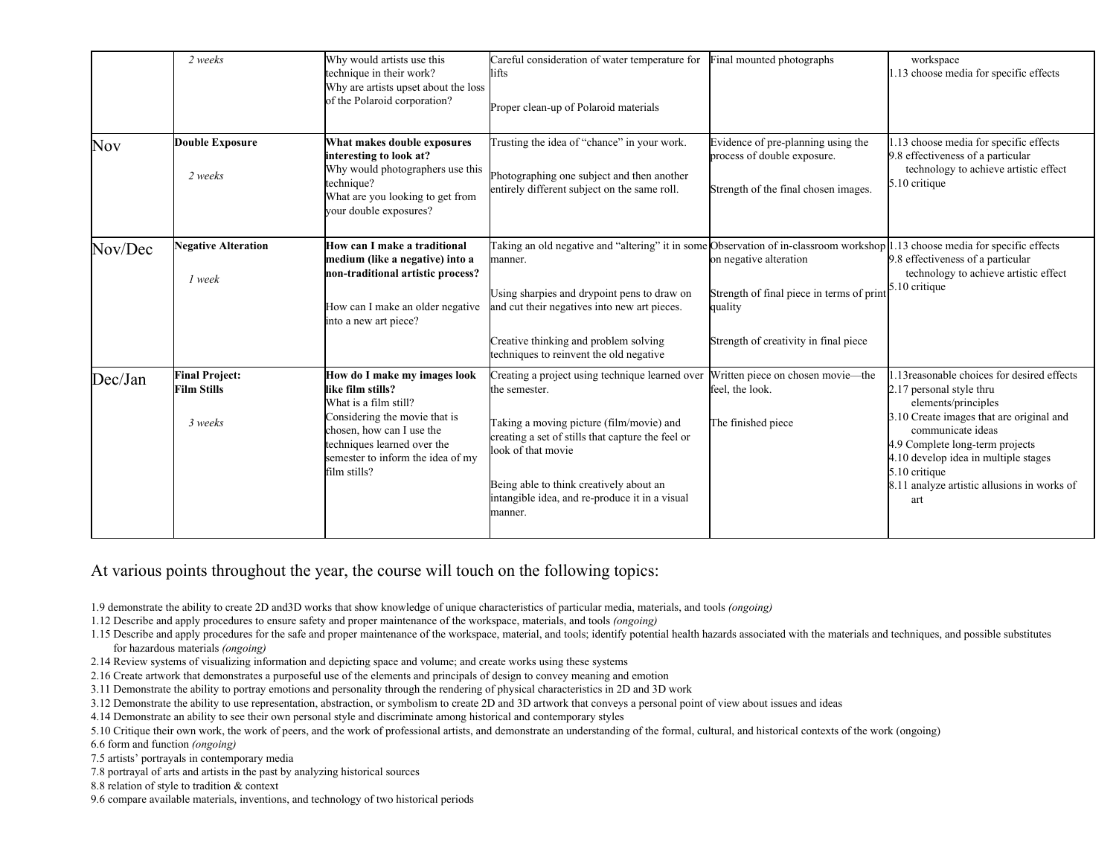|            | 2 weeks                                                | Why would artists use this<br>technique in their work?<br>Why are artists upset about the loss<br>of the Polaroid corporation?                                                                                               | Careful consideration of water temperature for<br>lifts<br>Proper clean-up of Polaroid materials                                                                                                                                                                                                | Final mounted photographs                                                                                               | workspace<br>.13 choose media for specific effects                                                                                                                                                                                                                                                               |
|------------|--------------------------------------------------------|------------------------------------------------------------------------------------------------------------------------------------------------------------------------------------------------------------------------------|-------------------------------------------------------------------------------------------------------------------------------------------------------------------------------------------------------------------------------------------------------------------------------------------------|-------------------------------------------------------------------------------------------------------------------------|------------------------------------------------------------------------------------------------------------------------------------------------------------------------------------------------------------------------------------------------------------------------------------------------------------------|
| <b>Nov</b> | <b>Double Exposure</b><br>2 weeks                      | What makes double exposures<br>interesting to look at?<br>Why would photographers use this<br>technique?<br>What are you looking to get from<br>your double exposures?                                                       | Trusting the idea of "chance" in your work.<br>Photographing one subject and then another<br>entirely different subject on the same roll.                                                                                                                                                       | Evidence of pre-planning using the<br>process of double exposure.<br>Strength of the final chosen images.               | .13 choose media for specific effects<br>9.8 effectiveness of a particular<br>technology to achieve artistic effect<br>5.10 critique                                                                                                                                                                             |
| Nov/Dec    | <b>Negative Alteration</b><br>1 week                   | How can I make a traditional<br>medium (like a negative) into a<br>non-traditional artistic process?<br>How can I make an older negative<br>into a new art piece?                                                            | Taking an old negative and "altering" it in some<br>manner.<br>Using sharpies and drypoint pens to draw on<br>and cut their negatives into new art pieces.<br>Creative thinking and problem solving<br>techniques to reinvent the old negative                                                  | on negative alteration<br>Strength of final piece in terms of print<br>quality<br>Strength of creativity in final piece | Observation of in-classroom workshop 1.13 choose media for specific effects<br>9.8 effectiveness of a particular<br>technology to achieve artistic effect<br>5.10 critique                                                                                                                                       |
| Dec/Jan    | <b>Final Project:</b><br><b>Film Stills</b><br>3 weeks | How do I make my images look<br>like film stills?<br>What is a film still?<br>Considering the movie that is<br>chosen, how can I use the<br>techniques learned over the<br>semester to inform the idea of my<br>film stills? | Creating a project using technique learned over<br>the semester.<br>Taking a moving picture (film/movie) and<br>creating a set of stills that capture the feel or<br>look of that movie<br>Being able to think creatively about an<br>intangible idea, and re-produce it in a visual<br>manner. | Written piece on chosen movie-the<br>feel, the look.<br>The finished piece                                              | .13 reasonable choices for desired effects<br>2.17 personal style thru<br>elements/principles<br>3.10 Create images that are original and<br>communicate ideas<br>4.9 Complete long-term projects<br>4.10 develop idea in multiple stages<br>5.10 critique<br>8.11 analyze artistic allusions in works of<br>art |

At various points throughout the year, the course will touch on the following topics:

1.9 demonstrate the ability to create 2D and3D works that show knowledge of unique characteristics of particular media, materials, and tools *(ongoing)*

1.12 Describe and apply procedures to ensure safety and proper maintenance of the workspace, materials, and tools *(ongoing)*

- 1.15 Describe and apply procedures for the safe and proper maintenance of the workspace, material, and tools; identify potential health hazards associated with the materials and techniques, and possible substitutes for hazardous materials *(ongoing)*
- 2.14 Review systems of visualizing information and depicting space and volume; and create works using these systems
- 2.16 Create artwork that demonstrates a purposeful use of the elements and principals of design to convey meaning and emotion
- 3.11 Demonstrate the ability to portray emotions and personality through the rendering of physical characteristics in 2D and 3D work
- 3.12 Demonstrate the ability to use representation, abstraction, or symbolism to create 2D and 3D artwork that conveys a personal point of view about issues and ideas
- 4.14 Demonstrate an ability to see their own personal style and discriminate among historical and contemporary styles
- 5.10 Critique their own work, the work of peers, and the work of professional artists, and demonstrate an understanding of the formal, cultural, and historical contexts of the work (ongoing)

6.6 form and function *(ongoing)*

- 7.5 artists' portrayals in contemporary media
- 7.8 portrayal of arts and artists in the past by analyzing historical sources
- 8.8 relation of style to tradition & context
- 9.6 compare available materials, inventions, and technology of two historical periods